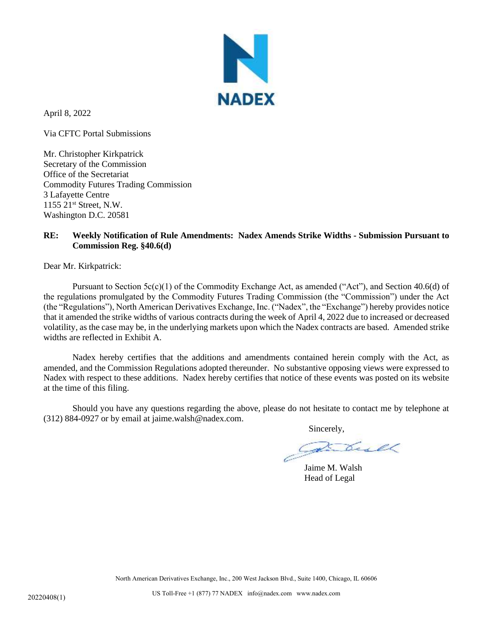

April 8, 2022

Via CFTC Portal Submissions

Mr. Christopher Kirkpatrick Secretary of the Commission Office of the Secretariat Commodity Futures Trading Commission 3 Lafayette Centre 1155 21st Street, N.W. Washington D.C. 20581

## **RE: Weekly Notification of Rule Amendments: Nadex Amends Strike Widths - Submission Pursuant to Commission Reg. §40.6(d)**

Dear Mr. Kirkpatrick:

Pursuant to Section  $5c(c)(1)$  of the Commodity Exchange Act, as amended ("Act"), and Section 40.6(d) of the regulations promulgated by the Commodity Futures Trading Commission (the "Commission") under the Act (the "Regulations"), North American Derivatives Exchange, Inc. ("Nadex", the "Exchange") hereby provides notice that it amended the strike widths of various contracts during the week of April 4, 2022 due to increased or decreased volatility, as the case may be, in the underlying markets upon which the Nadex contracts are based. Amended strike widths are reflected in Exhibit A.

Nadex hereby certifies that the additions and amendments contained herein comply with the Act, as amended, and the Commission Regulations adopted thereunder. No substantive opposing views were expressed to Nadex with respect to these additions. Nadex hereby certifies that notice of these events was posted on its website at the time of this filing.

Should you have any questions regarding the above, please do not hesitate to contact me by telephone at (312) 884-0927 or by email at jaime.walsh@nadex.com.

Sincerely,

Jaime M. Walsh Head of Legal